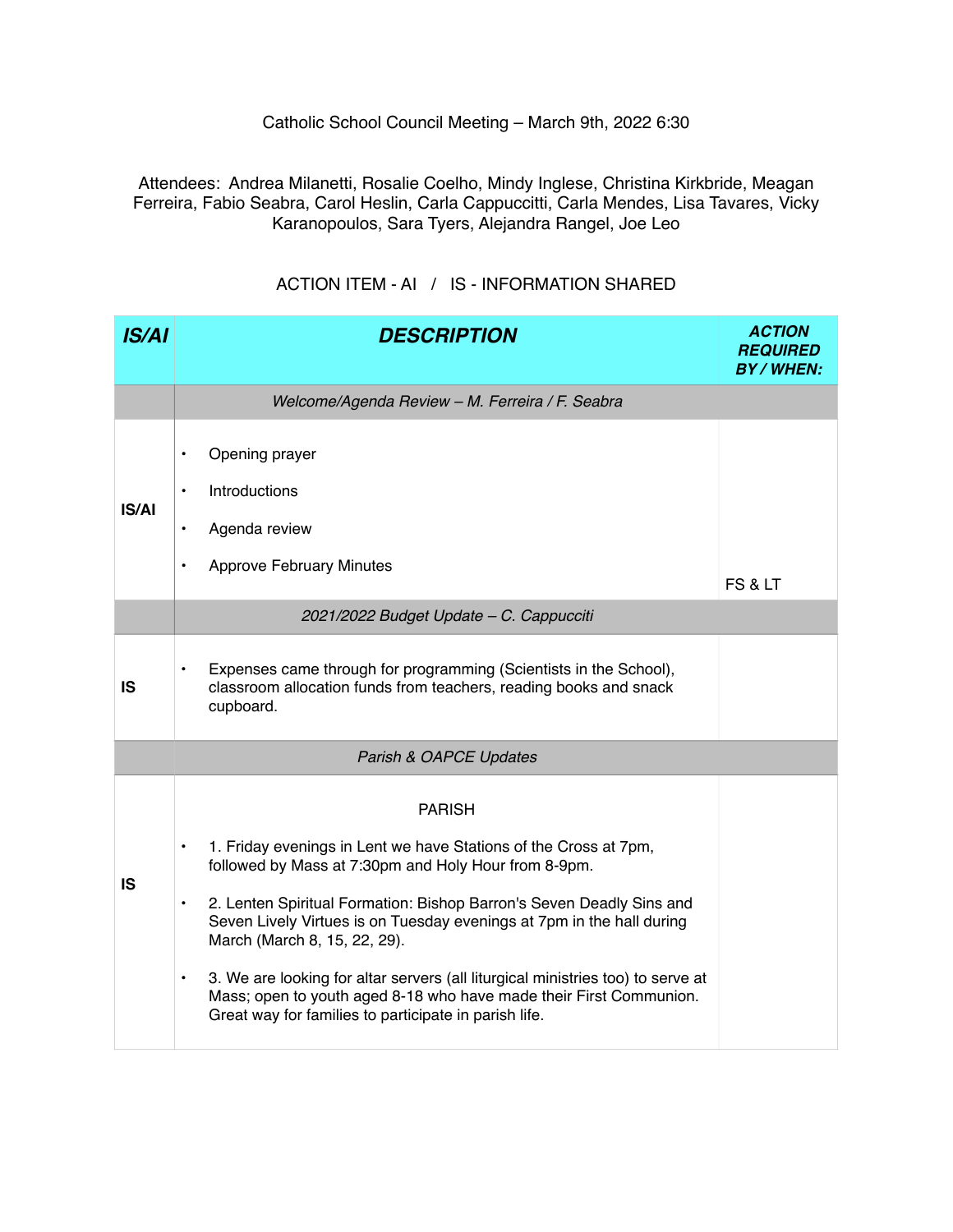## Catholic School Council Meeting – March 9th, 2022 6:30

Attendees: Andrea Milanetti, Rosalie Coelho, Mindy Inglese, Christina Kirkbride, Meagan Ferreira, Fabio Seabra, Carol Heslin, Carla Cappuccitti, Carla Mendes, Lisa Tavares, Vicky Karanopoulos, Sara Tyers, Alejandra Rangel, Joe Leo

| <b>IS/AI</b> | <b>DESCRIPTION</b>                                                                                                                                                                                                                                                                                                                                                                                                                                                                                                                                                                  | <b>ACTION</b><br><b>REQUIRED</b><br><b>BY/WHEN:</b> |  |  |  |
|--------------|-------------------------------------------------------------------------------------------------------------------------------------------------------------------------------------------------------------------------------------------------------------------------------------------------------------------------------------------------------------------------------------------------------------------------------------------------------------------------------------------------------------------------------------------------------------------------------------|-----------------------------------------------------|--|--|--|
|              | Welcome/Agenda Review - M. Ferreira / F. Seabra                                                                                                                                                                                                                                                                                                                                                                                                                                                                                                                                     |                                                     |  |  |  |
| <b>IS/AI</b> | Opening prayer<br>$\bullet$<br>Introductions<br>$\bullet$<br>Agenda review<br>٠<br><b>Approve February Minutes</b><br>$\bullet$                                                                                                                                                                                                                                                                                                                                                                                                                                                     | FS & LT                                             |  |  |  |
|              | 2021/2022 Budget Update - C. Cappucciti                                                                                                                                                                                                                                                                                                                                                                                                                                                                                                                                             |                                                     |  |  |  |
| <b>IS</b>    | Expenses came through for programming (Scientists in the School),<br>classroom allocation funds from teachers, reading books and snack<br>cupboard.                                                                                                                                                                                                                                                                                                                                                                                                                                 |                                                     |  |  |  |
|              | Parish & OAPCE Updates                                                                                                                                                                                                                                                                                                                                                                                                                                                                                                                                                              |                                                     |  |  |  |
| <b>IS</b>    | <b>PARISH</b><br>1. Friday evenings in Lent we have Stations of the Cross at 7pm,<br>$\bullet$<br>followed by Mass at 7:30pm and Holy Hour from 8-9pm.<br>2. Lenten Spiritual Formation: Bishop Barron's Seven Deadly Sins and<br>$\bullet$<br>Seven Lively Virtues is on Tuesday evenings at 7pm in the hall during<br>March (March 8, 15, 22, 29).<br>3. We are looking for altar servers (all liturgical ministries too) to serve at<br>$\bullet$<br>Mass; open to youth aged 8-18 who have made their First Communion.<br>Great way for families to participate in parish life. |                                                     |  |  |  |

## ACTION ITEM - AI / IS - INFORMATION SHARED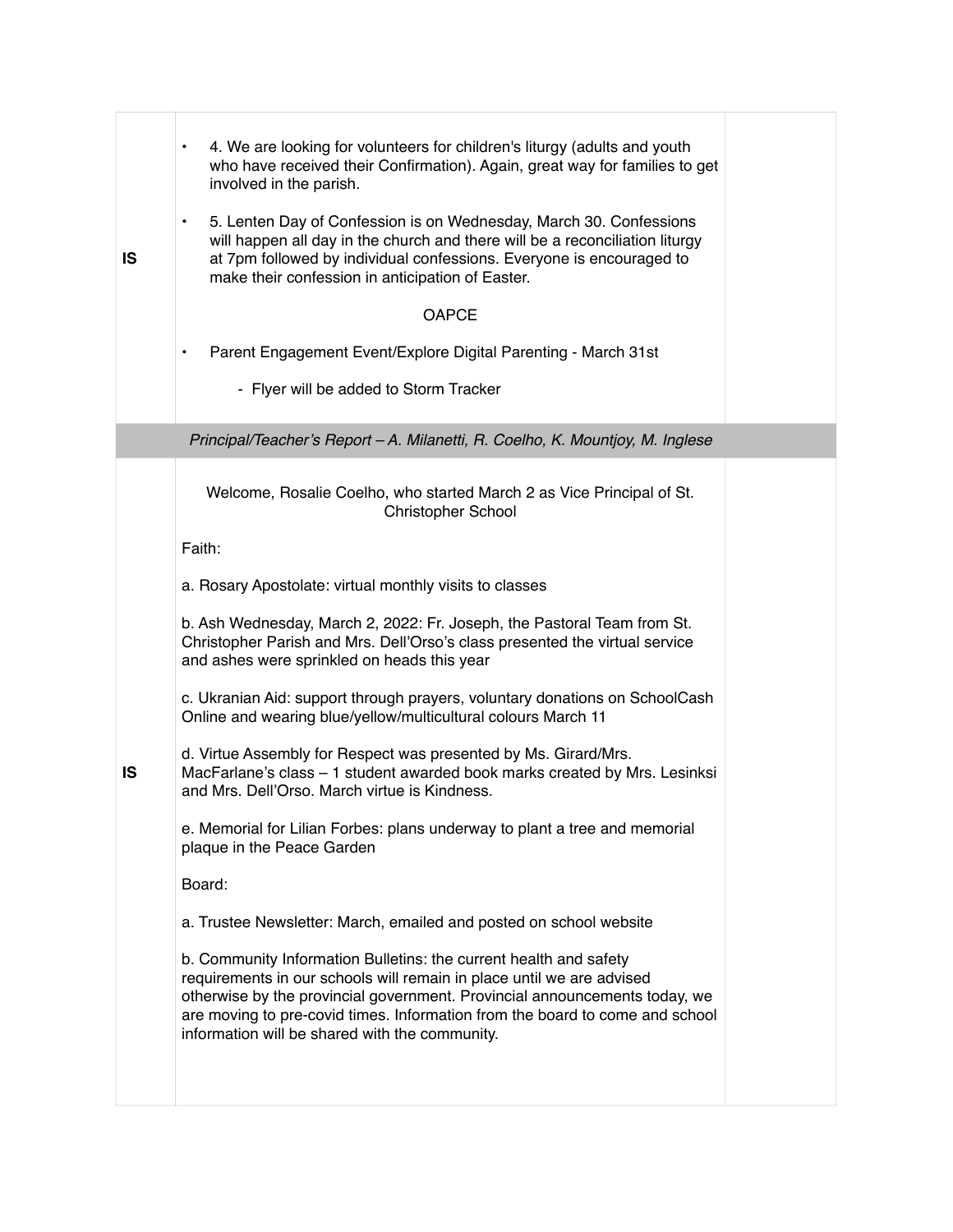| IS | 4. We are looking for volunteers for children's liturgy (adults and youth<br>$\bullet$<br>who have received their Confirmation). Again, great way for families to get<br>involved in the parish.<br>5. Lenten Day of Confession is on Wednesday, March 30. Confessions<br>$\bullet$<br>will happen all day in the church and there will be a reconciliation liturgy<br>at 7pm followed by individual confessions. Everyone is encouraged to<br>make their confession in anticipation of Easter.<br><b>OAPCE</b><br>Parent Engagement Event/Explore Digital Parenting - March 31st<br>٠<br>- Flyer will be added to Storm Tracker                                                                                                                                                                                                                         |  |
|----|----------------------------------------------------------------------------------------------------------------------------------------------------------------------------------------------------------------------------------------------------------------------------------------------------------------------------------------------------------------------------------------------------------------------------------------------------------------------------------------------------------------------------------------------------------------------------------------------------------------------------------------------------------------------------------------------------------------------------------------------------------------------------------------------------------------------------------------------------------|--|
|    | Principal/Teacher's Report - A. Milanetti, R. Coelho, K. Mountjoy, M. Inglese                                                                                                                                                                                                                                                                                                                                                                                                                                                                                                                                                                                                                                                                                                                                                                            |  |
| IS | Welcome, Rosalie Coelho, who started March 2 as Vice Principal of St.<br><b>Christopher School</b><br>Faith:<br>a. Rosary Apostolate: virtual monthly visits to classes<br>b. Ash Wednesday, March 2, 2022: Fr. Joseph, the Pastoral Team from St.<br>Christopher Parish and Mrs. Dell'Orso's class presented the virtual service<br>and ashes were sprinkled on heads this year<br>c. Ukranian Aid: support through prayers, voluntary donations on SchoolCash<br>Online and wearing blue/yellow/multicultural colours March 11<br>d. Virtue Assembly for Respect was presented by Ms. Girard/Mrs.<br>MacFarlane's class - 1 student awarded book marks created by Mrs. Lesinksi<br>and Mrs. Dell'Orso. March virtue is Kindness.<br>e. Memorial for Lilian Forbes: plans underway to plant a tree and memorial<br>plaque in the Peace Garden<br>Board: |  |
|    | a. Trustee Newsletter: March, emailed and posted on school website                                                                                                                                                                                                                                                                                                                                                                                                                                                                                                                                                                                                                                                                                                                                                                                       |  |
|    | b. Community Information Bulletins: the current health and safety<br>requirements in our schools will remain in place until we are advised<br>otherwise by the provincial government. Provincial announcements today, we<br>are moving to pre-covid times. Information from the board to come and school<br>information will be shared with the community.                                                                                                                                                                                                                                                                                                                                                                                                                                                                                               |  |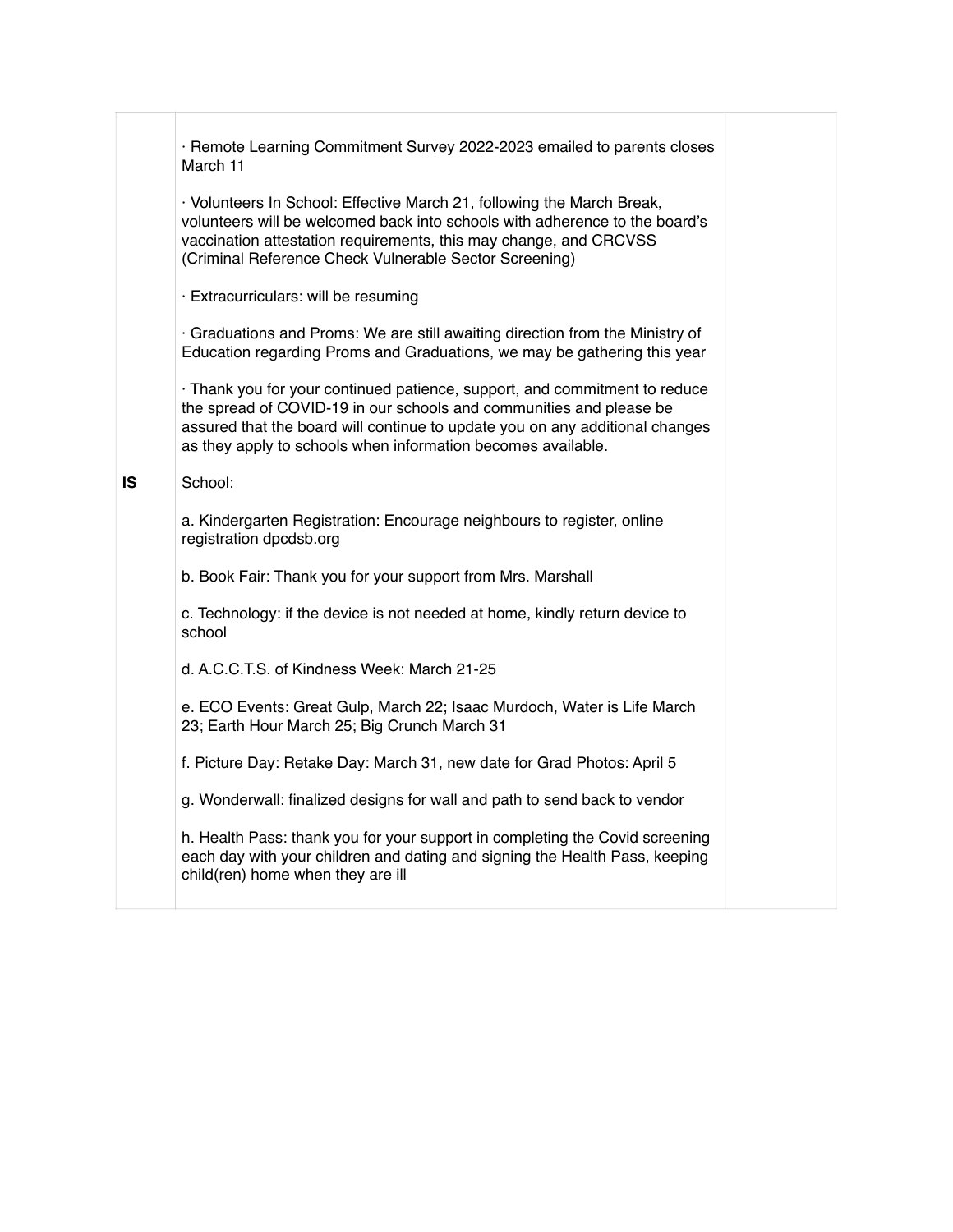|           | · Remote Learning Commitment Survey 2022-2023 emailed to parents closes<br>March 11                                                                                                                                                                                                               |  |
|-----------|---------------------------------------------------------------------------------------------------------------------------------------------------------------------------------------------------------------------------------------------------------------------------------------------------|--|
|           | · Volunteers In School: Effective March 21, following the March Break,<br>volunteers will be welcomed back into schools with adherence to the board's<br>vaccination attestation requirements, this may change, and CRCVSS<br>(Criminal Reference Check Vulnerable Sector Screening)              |  |
|           | · Extracurriculars: will be resuming                                                                                                                                                                                                                                                              |  |
|           | · Graduations and Proms: We are still awaiting direction from the Ministry of<br>Education regarding Proms and Graduations, we may be gathering this year                                                                                                                                         |  |
|           | · Thank you for your continued patience, support, and commitment to reduce<br>the spread of COVID-19 in our schools and communities and please be<br>assured that the board will continue to update you on any additional changes<br>as they apply to schools when information becomes available. |  |
| <b>IS</b> | School:                                                                                                                                                                                                                                                                                           |  |
|           | a. Kindergarten Registration: Encourage neighbours to register, online<br>registration dpcdsb.org                                                                                                                                                                                                 |  |
|           | b. Book Fair: Thank you for your support from Mrs. Marshall                                                                                                                                                                                                                                       |  |
|           | c. Technology: if the device is not needed at home, kindly return device to<br>school                                                                                                                                                                                                             |  |
|           | d. A.C.C.T.S. of Kindness Week: March 21-25                                                                                                                                                                                                                                                       |  |
|           | e. ECO Events: Great Gulp, March 22; Isaac Murdoch, Water is Life March<br>23; Earth Hour March 25; Big Crunch March 31                                                                                                                                                                           |  |
|           | f. Picture Day: Retake Day: March 31, new date for Grad Photos: April 5                                                                                                                                                                                                                           |  |
|           | g. Wonderwall: finalized designs for wall and path to send back to vendor                                                                                                                                                                                                                         |  |
|           | h. Health Pass: thank you for your support in completing the Covid screening<br>each day with your children and dating and signing the Health Pass, keeping<br>child(ren) home when they are ill                                                                                                  |  |